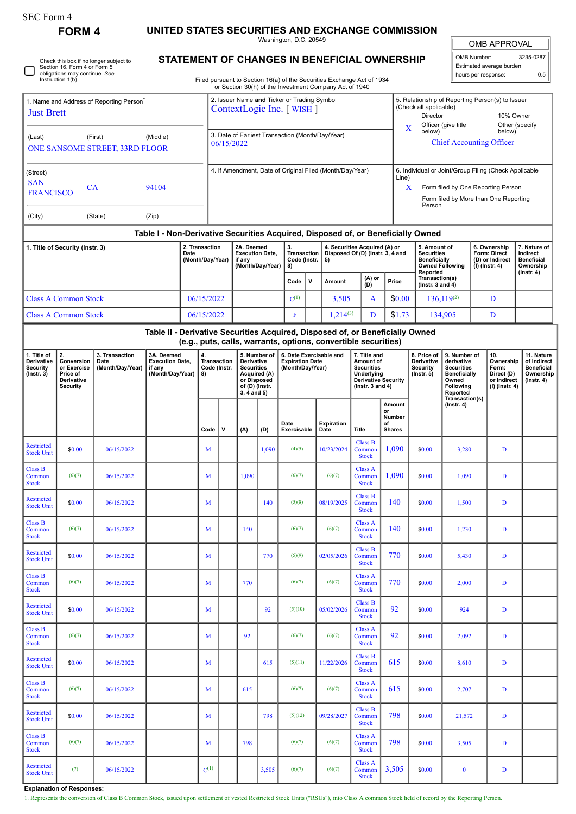Washington, D.C. 20549

| OMB APPROVAL |
|--------------|
|              |

| OMB Number:<br>3235-0287 |     |  |  |  |  |  |
|--------------------------|-----|--|--|--|--|--|
| Estimated average burden |     |  |  |  |  |  |
| hours per response:      | 0.5 |  |  |  |  |  |

Check this box if no longer subject to Section 16. Form 4 or Form 5 obligations may continue. *See* Instruction 1(b).

**FORM 4** 

## **STATEMENT OF CHANGES IN BENEFICIAL OWNERSHIP**

Filed pursuant to Section 16(a) of the Securities Exchange Act of 1934 or Section 30(h) of the Investment Company Act of 1940

| 1. Name and Address of Reporting Person<br><b>Just Brett</b>                     |                                                                              |                                            |                                                                               |            |                                                                                                                                                                                                                                                       | 2. Issuer Name and Ticker or Trading Symbol<br>ContextLogic Inc. [WISH]                |           |                                                                                                                           |                                                  |                                                                   |                                                                                                                            |                                                                                                |                                                                          | 5. Relationship of Reporting Person(s) to Issuer<br>(Check all applicable)<br>Director<br>10% Owner<br>Officer (give title<br>Other (specify                 |          |                                                                                |   |  |   |  |
|----------------------------------------------------------------------------------|------------------------------------------------------------------------------|--------------------------------------------|-------------------------------------------------------------------------------|------------|-------------------------------------------------------------------------------------------------------------------------------------------------------------------------------------------------------------------------------------------------------|----------------------------------------------------------------------------------------|-----------|---------------------------------------------------------------------------------------------------------------------------|--------------------------------------------------|-------------------------------------------------------------------|----------------------------------------------------------------------------------------------------------------------------|------------------------------------------------------------------------------------------------|--------------------------------------------------------------------------|--------------------------------------------------------------------------------------------------------------------------------------------------------------|----------|--------------------------------------------------------------------------------|---|--|---|--|
| (First)<br>(Last)<br>(Middle)<br>ONE SANSOME STREET, 33RD FLOOR                  |                                                                              |                                            |                                                                               |            |                                                                                                                                                                                                                                                       | 06/15/2022                                                                             |           |                                                                                                                           | 3. Date of Earliest Transaction (Month/Day/Year) |                                                                   |                                                                                                                            |                                                                                                | $\mathbf X$<br>below)<br>below)<br><b>Chief Accounting Officer</b>       |                                                                                                                                                              |          |                                                                                |   |  |   |  |
| (Street)<br><b>SAN</b><br>CA<br>94104<br><b>FRANCISCO</b>                        |                                                                              |                                            |                                                                               |            |                                                                                                                                                                                                                                                       | 4. If Amendment, Date of Original Filed (Month/Day/Year)                               |           |                                                                                                                           |                                                  |                                                                   |                                                                                                                            |                                                                                                |                                                                          | 6. Individual or Joint/Group Filing (Check Applicable<br>Line)<br>X<br>Form filed by One Reporting Person<br>Form filed by More than One Reporting<br>Person |          |                                                                                |   |  |   |  |
| (City)                                                                           |                                                                              | (State)                                    | (Zip)                                                                         |            |                                                                                                                                                                                                                                                       |                                                                                        |           |                                                                                                                           |                                                  |                                                                   |                                                                                                                            |                                                                                                |                                                                          |                                                                                                                                                              |          |                                                                                |   |  |   |  |
| Table I - Non-Derivative Securities Acquired, Disposed of, or Beneficially Owned |                                                                              |                                            |                                                                               |            |                                                                                                                                                                                                                                                       |                                                                                        |           |                                                                                                                           |                                                  |                                                                   |                                                                                                                            |                                                                                                |                                                                          |                                                                                                                                                              |          |                                                                                |   |  |   |  |
| 2. Transaction<br>1. Title of Security (Instr. 3)<br>Date                        |                                                                              |                                            |                                                                               |            |                                                                                                                                                                                                                                                       | 2A. Deemed<br><b>Execution Date,</b><br>(Month/Day/Year)<br>if any<br>(Month/Day/Year) |           | 3.<br>Transaction  <br>Code (Instr.<br>5)<br>8)                                                                           |                                                  | 4. Securities Acquired (A) or<br>Disposed Of (D) (Instr. 3, 4 and |                                                                                                                            | 5. Amount of<br><b>Securities</b><br><b>Beneficially</b><br><b>Owned Following</b><br>Reported |                                                                          | 6. Ownership<br>Form: Direct<br>(D) or Indirect<br>$(I)$ (Instr. 4)                                                                                          |          | 7. Nature of<br>Indirect<br><b>Beneficial</b><br>Ownership<br>$($ Instr. 4 $)$ |   |  |   |  |
|                                                                                  |                                                                              |                                            |                                                                               |            |                                                                                                                                                                                                                                                       |                                                                                        |           |                                                                                                                           | Code                                             | $\mathsf{v}$                                                      | (A) or<br>(D)<br>Amount                                                                                                    |                                                                                                | Price                                                                    | Transaction(s)<br>$($ Instr. 3 and 4 $)$                                                                                                                     |          |                                                                                |   |  |   |  |
|                                                                                  | <b>Class A Common Stock</b>                                                  |                                            |                                                                               |            | 06/15/2022                                                                                                                                                                                                                                            |                                                                                        | $C^{(1)}$ |                                                                                                                           | 3,505                                            | \$0.00<br>A                                                       |                                                                                                                            |                                                                                                | $136.119^{(2)}$                                                          | D                                                                                                                                                            |          |                                                                                |   |  |   |  |
| <b>Class A Common Stock</b>                                                      |                                                                              |                                            |                                                                               | 06/15/2022 |                                                                                                                                                                                                                                                       |                                                                                        |           | $\mathbf F$                                                                                                               |                                                  | $1,214^{(3)}$                                                     | D                                                                                                                          | \$1.73                                                                                         |                                                                          | 134,905                                                                                                                                                      |          | D                                                                              |   |  |   |  |
|                                                                                  |                                                                              |                                            | Table II - Derivative Securities Acquired, Disposed of, or Beneficially Owned |            |                                                                                                                                                                                                                                                       |                                                                                        |           |                                                                                                                           |                                                  |                                                                   | (e.g., puts, calls, warrants, options, convertible securities)                                                             |                                                                                                |                                                                          |                                                                                                                                                              |          |                                                                                |   |  |   |  |
| 1. Title of<br>Derivative<br>Security<br>$($ Instr. $3)$                         | 2.<br>Conversion<br>or Exercise<br>Price of<br>Derivative<br><b>Security</b> | 3. Transaction<br>Date<br>(Month/Day/Year) | 3A. Deemed<br><b>Execution Date,</b><br>if any<br>(Month/Day/Year)            |            | 6. Date Exercisable and<br>4.<br>5. Number of<br><b>Transaction</b><br><b>Derivative</b><br><b>Expiration Date</b><br><b>Securities</b><br>(Month/Day/Year)<br>Code (Instr.<br>Acquired (A)<br>8)<br>or Disposed<br>of (D) (Instr.<br>$3, 4$ and $5)$ |                                                                                        |           | 7. Title and<br>Amount of<br><b>Securities</b><br><b>Underlying</b><br><b>Derivative Security</b><br>( $lnstr. 3 and 4$ ) |                                                  | 8. Price of<br>Derivative<br><b>Security</b><br>$($ Instr. $5)$   | 9. Number of<br>derivative<br><b>Securities</b><br><b>Beneficially</b><br>Owned<br>Following<br>Reported<br>Transaction(s) |                                                                                                | 10.<br>Ownership<br>Form:<br>Direct (D)<br>or Indirect<br>(I) (Instr. 4) | 11. Nature<br>of Indirect<br><b>Beneficial</b><br>Ownership<br>$($ Instr. 4 $)$                                                                              |          |                                                                                |   |  |   |  |
|                                                                                  |                                                                              |                                            |                                                                               |            | Code                                                                                                                                                                                                                                                  | $\mathsf{v}$                                                                           | (A)       | (D)                                                                                                                       | Date<br>Exercisable                              |                                                                   | <b>Expiration</b><br>Date                                                                                                  | <b>Title</b>                                                                                   | Amount<br>or<br>Number<br>οf<br><b>Shares</b>                            | $($ Instr. 4 $)$                                                                                                                                             |          |                                                                                |   |  |   |  |
| Restricted<br><b>Stock Unit</b>                                                  | \$0.00                                                                       | 06/15/2022                                 |                                                                               |            | M                                                                                                                                                                                                                                                     |                                                                                        |           | 1,090                                                                                                                     | (4)(5)                                           |                                                                   | 10/23/2024                                                                                                                 | <b>Class B</b><br>Common<br><b>Stock</b>                                                       | 1,090                                                                    | \$0.00                                                                                                                                                       | 3,280    |                                                                                | D |  |   |  |
| <b>Class B</b><br>Common<br><b>Stock</b>                                         | (6)(7)                                                                       | 06/15/2022                                 |                                                                               |            | M                                                                                                                                                                                                                                                     |                                                                                        | 1,090     |                                                                                                                           | (6)(7)                                           |                                                                   | (6)(7)                                                                                                                     | <b>Class A</b><br>Common<br><b>Stock</b>                                                       | 1,090                                                                    | \$0.00                                                                                                                                                       | 1,090    |                                                                                |   |  | D |  |
| Restricted<br><b>Stock Unit</b>                                                  | \$0.00                                                                       | 06/15/2022                                 |                                                                               |            | M                                                                                                                                                                                                                                                     |                                                                                        |           | 140                                                                                                                       | (5)(8)                                           |                                                                   | 08/19/2025                                                                                                                 | <b>Class B</b><br>Common<br><b>Stock</b>                                                       | 140                                                                      | \$0.00                                                                                                                                                       | 1,500    |                                                                                | D |  |   |  |
| <b>Class B</b><br>Common<br><b>Stock</b>                                         | (6)(7)                                                                       | 06/15/2022                                 |                                                                               |            | M                                                                                                                                                                                                                                                     |                                                                                        | 140       |                                                                                                                           | (6)(7)                                           |                                                                   | (6)(7)                                                                                                                     | Class A<br>Common<br><b>Stock</b>                                                              | 140                                                                      | \$0.00                                                                                                                                                       | 1,230    |                                                                                | D |  |   |  |
| Restricted<br><b>Stock Unit</b>                                                  | \$0.00                                                                       | 06/15/2022                                 |                                                                               |            | M                                                                                                                                                                                                                                                     |                                                                                        |           | 770                                                                                                                       | (5)(9)                                           |                                                                   | 02/05/2026                                                                                                                 | <b>Class B</b><br>Common<br><b>Stock</b>                                                       | 770                                                                      | \$0.00                                                                                                                                                       | 5,430    |                                                                                | D |  |   |  |
| Class B<br>Common<br><b>Stock</b>                                                | (6)(7)                                                                       | 06/15/2022                                 |                                                                               |            | M                                                                                                                                                                                                                                                     |                                                                                        | 770       |                                                                                                                           | (6)(7)                                           |                                                                   | (6)(7)                                                                                                                     | <b>Class A</b><br>Common<br><b>Stock</b>                                                       | 770                                                                      | \$0.00                                                                                                                                                       | 2,000    |                                                                                | D |  |   |  |
| Restricted<br><b>Stock Unit</b>                                                  | \$0.00                                                                       | 06/15/2022                                 |                                                                               |            | M                                                                                                                                                                                                                                                     |                                                                                        |           | 92                                                                                                                        | (5)(10)                                          |                                                                   | 05/02/2026                                                                                                                 | <b>Class B</b><br>Common<br><b>Stock</b>                                                       | 92                                                                       | \$0.00                                                                                                                                                       | 924      |                                                                                | D |  |   |  |
| <b>Class B</b><br>Common<br><b>Stock</b>                                         | (6)(7)                                                                       | 06/15/2022                                 |                                                                               |            | M                                                                                                                                                                                                                                                     |                                                                                        | 92        |                                                                                                                           | (6)(7)                                           |                                                                   | (6)(7)                                                                                                                     | <b>Class A</b><br>Common<br><b>Stock</b>                                                       | 92                                                                       | \$0.00                                                                                                                                                       | 2,092    |                                                                                | D |  |   |  |
| Restricted<br><b>Stock Unit</b>                                                  | \$0.00                                                                       | 06/15/2022                                 |                                                                               |            | M                                                                                                                                                                                                                                                     |                                                                                        |           | 615                                                                                                                       | (5)(11)                                          |                                                                   | 11/22/2026                                                                                                                 | <b>Class B</b><br>Common<br><b>Stock</b>                                                       | 615                                                                      | \$0.00                                                                                                                                                       | 8,610    |                                                                                | D |  |   |  |
| <b>Class B</b><br>Common<br><b>Stock</b>                                         | (6)(7)                                                                       | 06/15/2022                                 |                                                                               |            | M                                                                                                                                                                                                                                                     |                                                                                        | 615       |                                                                                                                           | (6)(7)                                           |                                                                   | (6)(7)                                                                                                                     | <b>Class A</b><br>Common<br><b>Stock</b>                                                       | 615                                                                      | \$0.00                                                                                                                                                       | 2,707    |                                                                                | D |  |   |  |
| Restricted<br><b>Stock Unit</b>                                                  | \$0.00                                                                       | 06/15/2022                                 |                                                                               |            | M                                                                                                                                                                                                                                                     |                                                                                        |           | 798                                                                                                                       | (5)(12)                                          |                                                                   | 09/28/2027                                                                                                                 | Class B<br>Common<br><b>Stock</b>                                                              | 798                                                                      | \$0.00                                                                                                                                                       | 21,572   |                                                                                | D |  |   |  |
| Class B<br>Common<br><b>Stock</b>                                                | (6)(7)                                                                       | 06/15/2022                                 |                                                                               |            | M                                                                                                                                                                                                                                                     |                                                                                        | 798       |                                                                                                                           | (6)(7)                                           |                                                                   | (6)(7)                                                                                                                     | <b>Class A</b><br>Common<br><b>Stock</b>                                                       | 798                                                                      | \$0.00                                                                                                                                                       | 3,505    |                                                                                | D |  |   |  |
| Restricted<br><b>Stock Unit</b>                                                  | (7)                                                                          | 06/15/2022                                 |                                                                               |            | $C^{(1)}$                                                                                                                                                                                                                                             |                                                                                        |           | 3,505                                                                                                                     | (6)(7)                                           |                                                                   | (6)(7)                                                                                                                     | <b>Class A</b><br>Common<br><b>Stock</b>                                                       | 3,505                                                                    | \$0.00                                                                                                                                                       | $\bf{0}$ |                                                                                | D |  |   |  |

**Explanation of Responses:**

1. Represents the conversion of Class B Common Stock, issued upon settlement of vested Restricted Stock Units ("RSUs"), into Class A common Stock held of record by the Reporting Person.